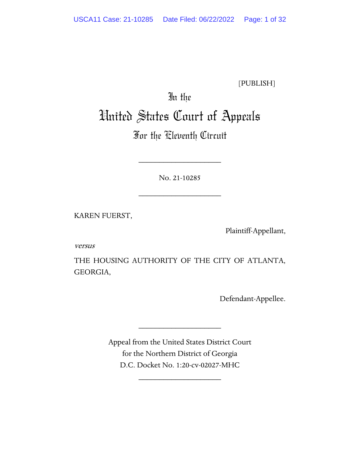[PUBLISH]

# In the United States Court of Appeals

# For the Eleventh Circuit

No. 21-10285

\_\_\_\_\_\_\_\_\_\_\_\_\_\_\_\_\_\_\_\_

\_\_\_\_\_\_\_\_\_\_\_\_\_\_\_\_\_\_\_\_

KAREN FUERST,

Plaintiff-Appellant,

versus

THE HOUSING AUTHORITY OF THE CITY OF ATLANTA, GEORGIA,

Defendant-Appellee.

Appeal from the United States District Court for the Northern District of Georgia D.C. Docket No. 1:20-cv-02027-MHC

\_\_\_\_\_\_\_\_\_\_\_\_\_\_\_\_\_\_\_\_

\_\_\_\_\_\_\_\_\_\_\_\_\_\_\_\_\_\_\_\_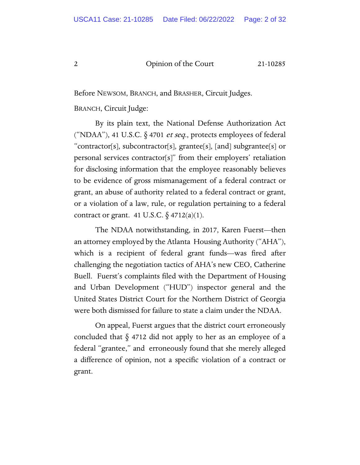Before NEWSOM, BRANCH, and BRASHER, Circuit Judges.

BRANCH, Circuit Judge:

By its plain text, the National Defense Authorization Act ("NDAA"), 41 U.S.C.  $\S$  4701 *et seq.*, protects employees of federal "contractor[s], subcontractor[s], grantee[s], [and] subgrantee[s] or personal services contractor[s]" from their employers' retaliation for disclosing information that the employee reasonably believes to be evidence of gross mismanagement of a federal contract or grant, an abuse of authority related to a federal contract or grant, or a violation of a law, rule, or regulation pertaining to a federal contract or grant. 41 U.S.C.  $\S$  4712(a)(1).

The NDAA notwithstanding, in 2017, Karen Fuerst—then an attorney employed by the Atlanta Housing Authority ("AHA"), which is a recipient of federal grant funds—was fired after challenging the negotiation tactics of AHA's new CEO, Catherine Buell. Fuerst's complaints filed with the Department of Housing and Urban Development ("HUD") inspector general and the United States District Court for the Northern District of Georgia were both dismissed for failure to state a claim under the NDAA.

On appeal, Fuerst argues that the district court erroneously concluded that § 4712 did not apply to her as an employee of a federal "grantee," and erroneously found that she merely alleged a difference of opinion, not a specific violation of a contract or grant.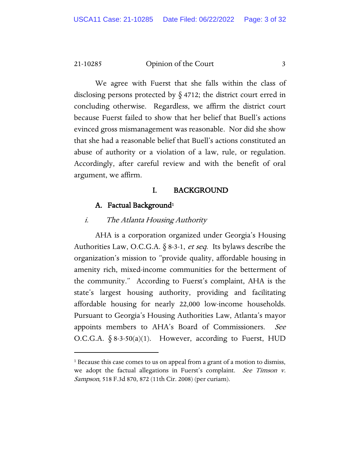We agree with Fuerst that she falls within the class of disclosing persons protected by  $\S$  4712; the district court erred in concluding otherwise. Regardless, we affirm the district court because Fuerst failed to show that her belief that Buell's actions evinced gross mismanagement was reasonable. Nor did she show that she had a reasonable belief that Buell's actions constituted an abuse of authority or a violation of a law, rule, or regulation. Accordingly, after careful review and with the benefit of oral argument, we affirm.

#### I. BACKGROUND

#### A. Factual Background<sup>1</sup>

#### i. The Atlanta Housing Authority

AHA is a corporation organized under Georgia's Housing Authorities Law, O.C.G.A.  $\S$  8-3-1, *et seq*. Its bylaws describe the organization's mission to "provide quality, affordable housing in amenity rich, mixed-income communities for the betterment of the community." According to Fuerst's complaint, AHA is the state's largest housing authority, providing and facilitating affordable housing for nearly 22,000 low-income households. Pursuant to Georgia's Housing Authorities Law, Atlanta's mayor appoints members to AHA's Board of Commissioners. See O.C.G.A.  $\S$  8-3-50(a)(1). However, according to Fuerst, HUD

<span id="page-2-0"></span><sup>&</sup>lt;sup>1</sup> Because this case comes to us on appeal from a grant of a motion to dismiss, we adopt the factual allegations in Fuerst's complaint. See Timson v. Sampson, 518 F.3d 870, 872 (11th Cir. 2008) (per curiam).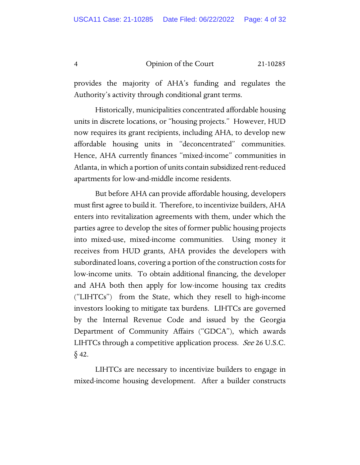provides the majority of AHA's funding and regulates the Authority's activity through conditional grant terms.

Historically, municipalities concentrated affordable housing units in discrete locations, or "housing projects." However, HUD now requires its grant recipients, including AHA, to develop new affordable housing units in "deconcentrated" communities. Hence, AHA currently finances "mixed-income" communities in Atlanta, in which a portion of units contain subsidized rent-reduced apartments for low-and-middle income residents.

But before AHA can provide affordable housing, developers must first agree to build it. Therefore, to incentivize builders, AHA enters into revitalization agreements with them, under which the parties agree to develop the sites of former public housing projects into mixed-use, mixed-income communities. Using money it receives from HUD grants, AHA provides the developers with subordinated loans, covering a portion of the construction costs for low-income units. To obtain additional financing, the developer and AHA both then apply for low-income housing tax credits ("LIHTCs") from the State, which they resell to high-income investors looking to mitigate tax burdens. LIHTCs are governed by the Internal Revenue Code and issued by the Georgia Department of Community Affairs ("GDCA"), which awards LIHTCs through a competitive application process. See 26 U.S.C.  $\S$  42.

LIHTCs are necessary to incentivize builders to engage in mixed-income housing development. After a builder constructs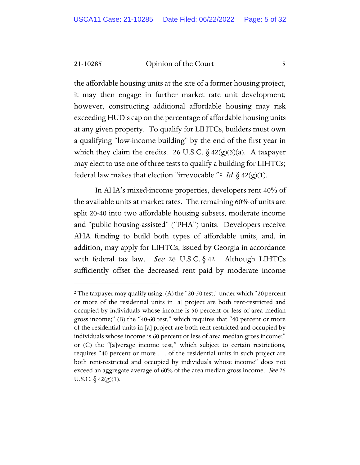the affordable housing units at the site of a former housing project, it may then engage in further market rate unit development; however, constructing additional affordable housing may risk exceeding HUD's cap on the percentage of affordable housing units at any given property. To qualify for LIHTCs, builders must own a qualifying "low-income building" by the end of the first year in which they claim the credits. 26 U.S.C.  $\delta$  42(g)(3)(a). A taxpayer may elect to use one of three tests to qualify a building for LIHTCs; federal law makes that election "irrevocable."<sup>2</sup> Id. § 42(g)(1).

In AHA's mixed-income properties, developers rent 40% of the available units at market rates. The remaining 60% of units are split 20-40 into two affordable housing subsets, moderate income and "public housing-assisted" ("PHA") units. Developers receive AHA funding to build both types of affordable units, and, in addition, may apply for LIHTCs, issued by Georgia in accordance with federal tax law. See 26 U.S.C.  $\S$  42. Although LIHTCs sufficiently offset the decreased rent paid by moderate income

<span id="page-4-0"></span><sup>&</sup>lt;sup>2</sup> The taxpayer may qualify using: (A) the "20-50 test," under which "20 percent or more of the residential units in [a] project are both rent-restricted and occupied by individuals whose income is 50 percent or less of area median gross income;" (B) the "40-60 test," which requires that "40 percent or more of the residential units in [a] project are both rent-restricted and occupied by individuals whose income is 60 percent or less of area median gross income;" or (C) the "[a]verage income test," which subject to certain restrictions, requires "40 percent or more . . . of the residential units in such project are both rent-restricted and occupied by individuals whose income" does not exceed an aggregate average of 60% of the area median gross income. See 26 U.S.C.  $\frac{5}{9}$  42(g)(1).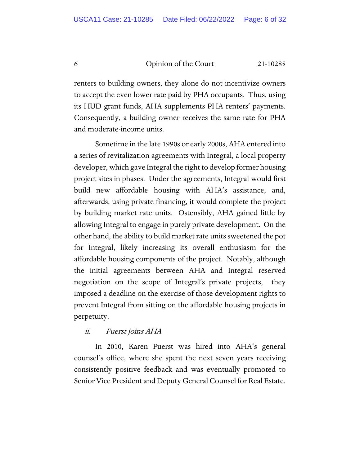renters to building owners, they alone do not incentivize owners to accept the even lower rate paid by PHA occupants. Thus, using its HUD grant funds, AHA supplements PHA renters' payments. Consequently, a building owner receives the same rate for PHA and moderate-income units.

Sometime in the late 1990s or early 2000s, AHA entered into a series of revitalization agreements with Integral, a local property developer, which gave Integral the right to develop former housing project sites in phases. Under the agreements, Integral would first build new affordable housing with AHA's assistance, and, afterwards, using private financing, it would complete the project by building market rate units. Ostensibly, AHA gained little by allowing Integral to engage in purely private development. On the other hand, the ability to build market rate units sweetened the pot for Integral, likely increasing its overall enthusiasm for the affordable housing components of the project. Notably, although the initial agreements between AHA and Integral reserved negotiation on the scope of Integral's private projects, they imposed a deadline on the exercise of those development rights to prevent Integral from sitting on the affordable housing projects in perpetuity.

# ii. Fuerst joins AHA

In 2010, Karen Fuerst was hired into AHA's general counsel's office, where she spent the next seven years receiving consistently positive feedback and was eventually promoted to Senior Vice President and Deputy General Counsel for Real Estate.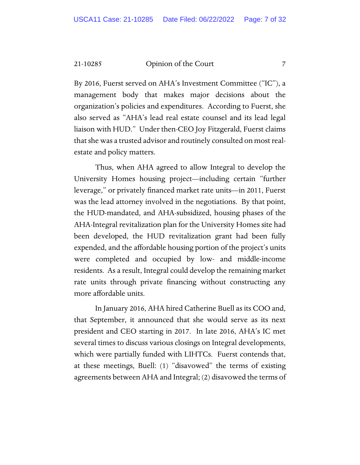By 2016, Fuerst served on AHA's Investment Committee ("IC"), a management body that makes major decisions about the organization's policies and expenditures. According to Fuerst, she also served as "AHA's lead real estate counsel and its lead legal liaison with HUD." Under then-CEO Joy Fitzgerald, Fuerst claims that she was a trusted advisor and routinely consulted on most realestate and policy matters.

Thus, when AHA agreed to allow Integral to develop the University Homes housing project—including certain "further leverage," or privately financed market rate units—in 2011, Fuerst was the lead attorney involved in the negotiations. By that point, the HUD-mandated, and AHA-subsidized, housing phases of the AHA-Integral revitalization plan for the University Homes site had been developed, the HUD revitalization grant had been fully expended, and the affordable housing portion of the project's units were completed and occupied by low- and middle-income residents. As a result, Integral could develop the remaining market rate units through private financing without constructing any more affordable units.

In January 2016, AHA hired Catherine Buell as its COO and, that September, it announced that she would serve as its next president and CEO starting in 2017. In late 2016, AHA's IC met several times to discuss various closings on Integral developments, which were partially funded with LIHTCs. Fuerst contends that, at these meetings, Buell: (1) "disavowed" the terms of existing agreements between AHA and Integral; (2) disavowed the terms of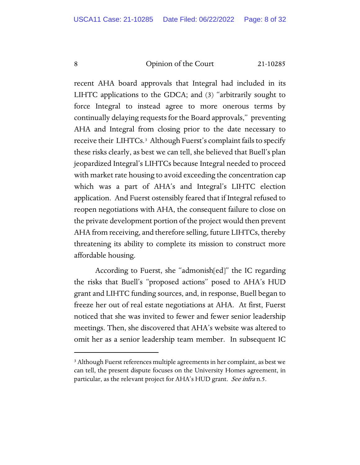recent AHA board approvals that Integral had included in its LIHTC applications to the GDCA; and (3) "arbitrarily sought to force Integral to instead agree to more onerous terms by continually delaying requests for the Board approvals," preventing AHA and Integral from closing prior to the date necessary to receive their LIHTCs.[3](#page-7-0) Although Fuerst's complaint fails to specify these risks clearly, as best we can tell, she believed that Buell's plan jeopardized Integral's LIHTCs because Integral needed to proceed with market rate housing to avoid exceeding the concentration cap which was a part of AHA's and Integral's LIHTC election application. And Fuerst ostensibly feared that if Integral refused to reopen negotiations with AHA, the consequent failure to close on the private development portion of the project would then prevent AHA from receiving, and therefore selling, future LIHTCs, thereby threatening its ability to complete its mission to construct more affordable housing.

According to Fuerst, she "admonish[ed]" the IC regarding the risks that Buell's "proposed actions" posed to AHA's HUD grant and LIHTC funding sources, and, in response, Buell began to freeze her out of real estate negotiations at AHA. At first, Fuerst noticed that she was invited to fewer and fewer senior leadership meetings. Then, she discovered that AHA's website was altered to omit her as a senior leadership team member. In subsequent IC

<span id="page-7-0"></span><sup>3</sup> Although Fuerst references multiple agreements in her complaint, as best we can tell, the present dispute focuses on the University Homes agreement, in particular, as the relevant project for AHA's HUD grant. See infra n.5.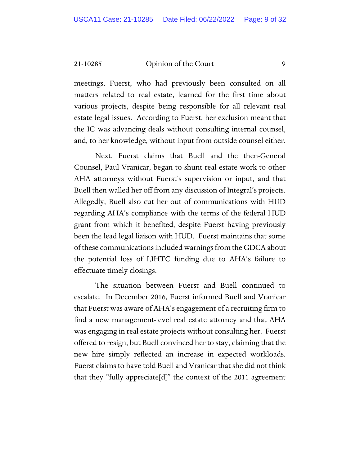meetings, Fuerst, who had previously been consulted on all matters related to real estate, learned for the first time about various projects, despite being responsible for all relevant real estate legal issues. According to Fuerst, her exclusion meant that the IC was advancing deals without consulting internal counsel, and, to her knowledge, without input from outside counsel either.

Next, Fuerst claims that Buell and the then-General Counsel, Paul Vranicar, began to shunt real estate work to other AHA attorneys without Fuerst's supervision or input, and that Buell then walled her off from any discussion of Integral's projects. Allegedly, Buell also cut her out of communications with HUD regarding AHA's compliance with the terms of the federal HUD grant from which it benefited, despite Fuerst having previously been the lead legal liaison with HUD. Fuerst maintains that some of these communications included warnings from the GDCA about the potential loss of LIHTC funding due to AHA's failure to effectuate timely closings.

The situation between Fuerst and Buell continued to escalate. In December 2016, Fuerst informed Buell and Vranicar that Fuerst was aware of AHA's engagement of a recruiting firm to find a new management-level real estate attorney and that AHA was engaging in real estate projects without consulting her. Fuerst offered to resign, but Buell convinced her to stay, claiming that the new hire simply reflected an increase in expected workloads. Fuerst claims to have told Buell and Vranicar that she did not think that they "fully appreciate[d]" the context of the 2011 agreement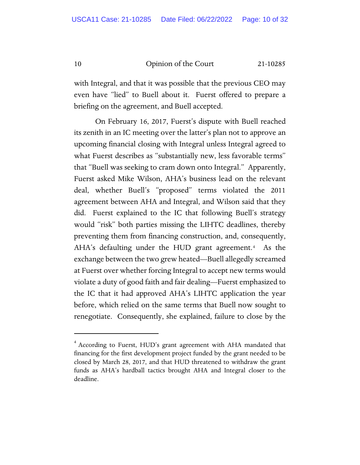with Integral, and that it was possible that the previous CEO may even have "lied" to Buell about it. Fuerst offered to prepare a briefing on the agreement, and Buell accepted.

On February 16, 2017, Fuerst's dispute with Buell reached its zenith in an IC meeting over the latter's plan not to approve an upcoming financial closing with Integral unless Integral agreed to what Fuerst describes as "substantially new, less favorable terms" that "Buell was seeking to cram down onto Integral." Apparently, Fuerst asked Mike Wilson, AHA's business lead on the relevant deal, whether Buell's "proposed" terms violated the 2011 agreement between AHA and Integral, and Wilson said that they did. Fuerst explained to the IC that following Buell's strategy would "risk" both parties missing the LIHTC deadlines, thereby preventing them from financing construction, and, consequently, AHA's defaulting under the HUD grant agreement.[4](#page-9-0) As the exchange between the two grew heated—Buell allegedly screamed at Fuerst over whether forcing Integral to accept new terms would violate a duty of good faith and fair dealing—Fuerst emphasized to the IC that it had approved AHA's LIHTC application the year before, which relied on the same terms that Buell now sought to renegotiate. Consequently, she explained, failure to close by the

<span id="page-9-0"></span><sup>&</sup>lt;sup>4</sup> According to Fuerst, HUD's grant agreement with AHA mandated that financing for the first development project funded by the grant needed to be closed by March 28, 2017, and that HUD threatened to withdraw the grant funds as AHA's hardball tactics brought AHA and Integral closer to the deadline.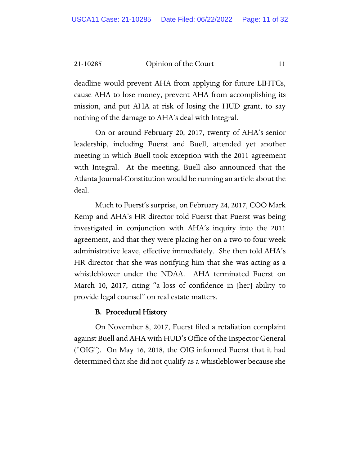deadline would prevent AHA from applying for future LIHTCs, cause AHA to lose money, prevent AHA from accomplishing its mission, and put AHA at risk of losing the HUD grant, to say nothing of the damage to AHA's deal with Integral.

On or around February 20, 2017, twenty of AHA's senior leadership, including Fuerst and Buell, attended yet another meeting in which Buell took exception with the 2011 agreement with Integral. At the meeting, Buell also announced that the Atlanta Journal-Constitution would be running an article about the deal.

Much to Fuerst's surprise, on February 24, 2017, COO Mark Kemp and AHA's HR director told Fuerst that Fuerst was being investigated in conjunction with AHA's inquiry into the 2011 agreement, and that they were placing her on a two-to-four-week administrative leave, effective immediately. She then told AHA's HR director that she was notifying him that she was acting as a whistleblower under the NDAA. AHA terminated Fuerst on March 10, 2017, citing "a loss of confidence in [her] ability to provide legal counsel" on real estate matters.

# B. Procedural History

On November 8, 2017, Fuerst filed a retaliation complaint against Buell and AHA with HUD's Office of the Inspector General ("OIG"). On May 16, 2018, the OIG informed Fuerst that it had determined that she did not qualify as a whistleblower because she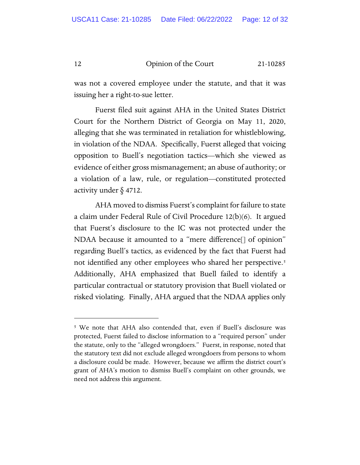was not a covered employee under the statute, and that it was issuing her a right-to-sue letter.

Fuerst filed suit against AHA in the United States District Court for the Northern District of Georgia on May 11, 2020, alleging that she was terminated in retaliation for whistleblowing, in violation of the NDAA. Specifically, Fuerst alleged that voicing opposition to Buell's negotiation tactics—which she viewed as evidence of either gross mismanagement; an abuse of authority; or a violation of a law, rule, or regulation—constituted protected activity under § 4712.

AHA moved to dismiss Fuerst's complaint for failure to state a claim under Federal Rule of Civil Procedure 12(b)(6). It argued that Fuerst's disclosure to the IC was not protected under the NDAA because it amounted to a "mere difference[] of opinion" regarding Buell's tactics, as evidenced by the fact that Fuerst had not identified any other employees who shared her perspective.<sup>[5](#page-11-0)</sup> Additionally, AHA emphasized that Buell failed to identify a particular contractual or statutory provision that Buell violated or risked violating. Finally, AHA argued that the NDAA applies only

<span id="page-11-0"></span><sup>5</sup> We note that AHA also contended that, even if Buell's disclosure was protected, Fuerst failed to disclose information to a "required person" under the statute, only to the "alleged wrongdoers." Fuerst, in response, noted that the statutory text did not exclude alleged wrongdoers from persons to whom a disclosure could be made. However, because we affirm the district court's grant of AHA's motion to dismiss Buell's complaint on other grounds, we need not address this argument.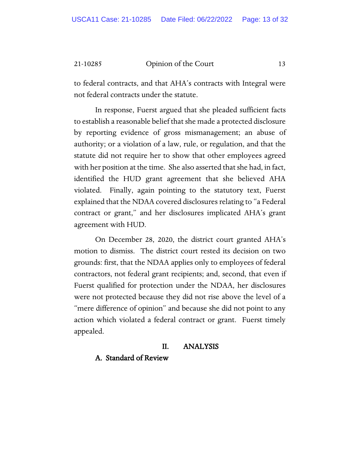to federal contracts, and that AHA's contracts with Integral were not federal contracts under the statute.

In response, Fuerst argued that she pleaded sufficient facts to establish a reasonable belief that she made a protected disclosure by reporting evidence of gross mismanagement; an abuse of authority; or a violation of a law, rule, or regulation, and that the statute did not require her to show that other employees agreed with her position at the time. She also asserted that she had, in fact, identified the HUD grant agreement that she believed AHA violated. Finally, again pointing to the statutory text, Fuerst explained that the NDAA covered disclosures relating to "a Federal contract or grant," and her disclosures implicated AHA's grant agreement with HUD.

On December 28, 2020, the district court granted AHA's motion to dismiss. The district court rested its decision on two grounds: first, that the NDAA applies only to employees of federal contractors, not federal grant recipients; and, second, that even if Fuerst qualified for protection under the NDAA, her disclosures were not protected because they did not rise above the level of a "mere difference of opinion" and because she did not point to any action which violated a federal contract or grant. Fuerst timely appealed.

# II. ANALYSIS

# A. Standard of Review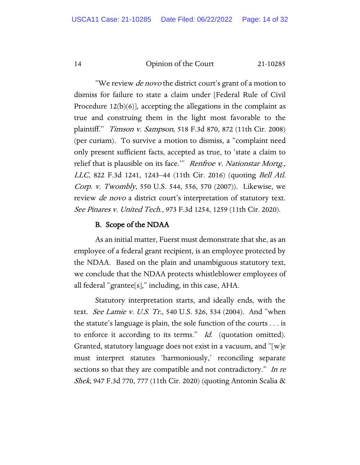"We review *de novo* the district court's grant of a motion to dismiss for failure to state a claim under [Federal Rule of Civil Procedure 12(b)(6)], accepting the allegations in the complaint as true and construing them in the light most favorable to the plaintiff." Timson v. Sampson, 518 F.3d 870, 872 (11th Cir. 2008) (per curiam). To survive a motion to dismiss, a "complaint need only present sufficient facts, accepted as true, to 'state a claim to relief that is plausible on its face." Renfroe v. Nationstar Mortg., LLC, 822 F.3d 1241, 1243–44 (11th Cir. 2016) (quoting Bell Atl. Corp. v. Twombly, 550 U.S. 544, 556, 570 (2007)). Likewise, we review *de novo* a district court's interpretation of statutory text. See Pinares v. United Tech., 973 F.3d 1254, 1259 (11th Cir. 2020).

# B. Scope of the NDAA

As an initial matter, Fuerst must demonstrate that she, as an employee of a federal grant recipient, is an employee protected by the NDAA. Based on the plain and unambiguous statutory text, we conclude that the NDAA protects whistleblower employees of all federal "grantee[s]," including, in this case, AHA.

Statutory interpretation starts, and ideally ends, with the text. *See Lamie v. U.S. Tr.*, 540 U.S. 526, 534 (2004). And "when the statute's language is plain, the sole function of the courts . . . is to enforce it according to its terms." *Id.* (quotation omitted). Granted, statutory language does not exist in a vacuum, and "[w]e must interpret statutes 'harmoniously,' reconciling separate sections so that they are compatible and not contradictory." In re Shek, 947 F.3d 770, 777 (11th Cir. 2020) (quoting Antonin Scalia &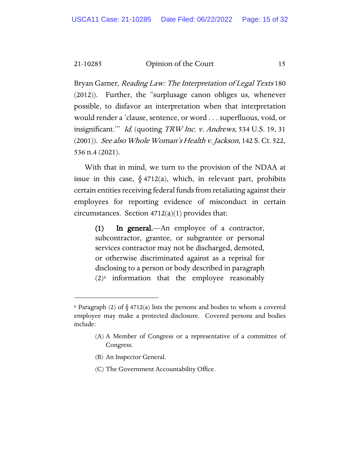Bryan Garner, Reading Law: The Interpretation of Legal Texts 180 (2012)). Further, the "surplusage canon obliges us, whenever possible, to disfavor an interpretation when that interpretation would render a 'clause, sentence, or word . . . superfluous, void, or insignificant.'" Id. (quoting TRW Inc. v. Andrews, 534 U.S. 19, 31  $(2001)$ ). *See also Whole Woman's Health v. Jackson*, 142 S. Ct. 522, 536 n.4 (2021).

With that in mind, we turn to the provision of the NDAA at issue in this case,  $\S$  4712(a), which, in relevant part, prohibits certain entities receiving federal funds from retaliating against their employees for reporting evidence of misconduct in certain circumstances. Section 4712(a)(1) provides that:

(1) In general.—An employee of a contractor, subcontractor, grantee, or subgrantee or personal services contractor may not be discharged, demoted, or otherwise discriminated against as a reprisal for disclosing to a person or body described in paragraph  $(2)$ <sup>[6](#page-14-0)</sup> information that the employee reasonably

- (B) An Inspector General.
- (C) The Government Accountability Office.

<span id="page-14-0"></span> $6$  Paragraph (2) of  $\delta$  4712(a) lists the persons and bodies to whom a covered employee may make a protected disclosure. Covered persons and bodies include:

<sup>(</sup>A) A Member of Congress or a representative of a committee of Congress.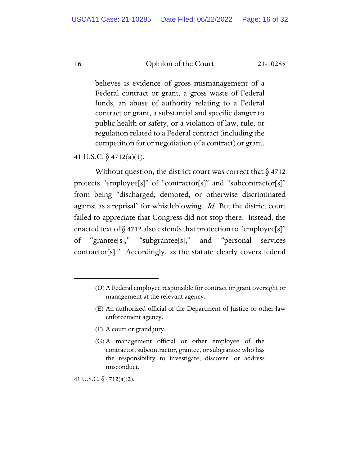believes is evidence of gross mismanagement of a Federal contract or grant, a gross waste of Federal funds, an abuse of authority relating to a Federal contract or grant, a substantial and specific danger to public health or safety, or a violation of law, rule, or regulation related to a Federal contract (including the competition for or negotiation of a contract) or grant.

41 U.S.C. § 4712(a)(1).

Without question, the district court was correct that  $\S$  4712 protects "employee[s]" of "contractor[s]" and "subcontractor[s]" from being "discharged, demoted, or otherwise discriminated against as a reprisal" for whistleblowing. Id. But the district court failed to appreciate that Congress did not stop there. Instead, the enacted text of  $\S$  4712 also extends that protection to "employee[s]" of "grantee[s]," "subgrantee[s]," and "personal services contractor[s]." Accordingly, as the statute clearly covers federal

- (F) A court or grand jury.
- (G) A management official or other employee of the contractor, subcontractor, grantee, or subgrantee who has the responsibility to investigate, discover, or address misconduct.

41 U.S.C.  $\S$  4712(a)(2).

<sup>(</sup>D) A Federal employee responsible for contract or grant oversight or management at the relevant agency.

<sup>(</sup>E) An authorized official of the Department of Justice or other law enforcement agency.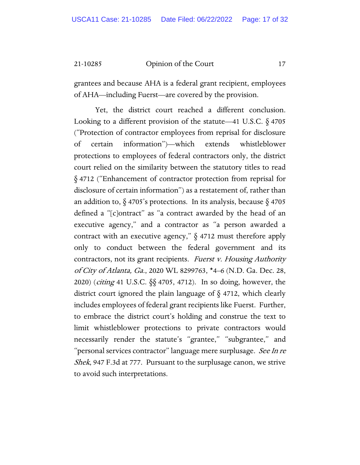grantees and because AHA is a federal grant recipient, employees of AHA—including Fuerst—are covered by the provision.

Yet, the district court reached a different conclusion. Looking to a different provision of the statute—41 U.S.C.  $\delta$  4705 ("Protection of contractor employees from reprisal for disclosure of certain information")—which extends whistleblower protections to employees of federal contractors only, the district court relied on the similarity between the statutory titles to read § 4712 ("Enhancement of contractor protection from reprisal for disclosure of certain information") as a restatement of, rather than an addition to,  $\S$  4705's protections. In its analysis, because  $\S$  4705 defined a "[c]ontract" as "a contract awarded by the head of an executive agency," and a contractor as "a person awarded a contract with an executive agency,"  $\S$  4712 must therefore apply only to conduct between the federal government and its contractors, not its grant recipients. Fuerst v. Housing Authority of City of Atlanta, Ga., 2020 WL 8299763, \*4–6 (N.D. Ga. Dec. 28, 2020) (citing 41 U.S.C. §§ 4705, 4712). In so doing, however, the district court ignored the plain language of § 4712, which clearly includes employees of federal grant recipients like Fuerst. Further, to embrace the district court's holding and construe the text to limit whistleblower protections to private contractors would necessarily render the statute's "grantee," "subgrantee," and "personal services contractor" language mere surplusage. See In re Shek, 947 F.3d at 777. Pursuant to the surplusage canon, we strive to avoid such interpretations.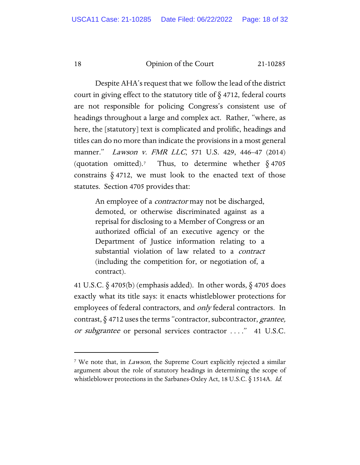Despite AHA's request that we follow the lead of the district court in giving effect to the statutory title of  $\S$  4712, federal courts are not responsible for policing Congress's consistent use of headings throughout a large and complex act. Rather, "where, as here, the [statutory] text is complicated and prolific, headings and titles can do no more than indicate the provisions in a most general manner." Lawson v. FMR LLC, 571 U.S. 429, 446–47 (2014) (quotation omitted).<sup>[7](#page-17-0)</sup> Thus, to determine whether  $\S$  4705 constrains  $\S$  4712, we must look to the enacted text of those statutes. Section 4705 provides that:

An employee of a *contractor* may not be discharged, demoted, or otherwise discriminated against as a reprisal for disclosing to a Member of Congress or an authorized official of an executive agency or the Department of Justice information relating to a substantial violation of law related to a *contract* (including the competition for, or negotiation of, a contract).

41 U.S.C.  $\S$  4705(b) (emphasis added). In other words,  $\S$  4705 does exactly what its title says: it enacts whistleblower protections for employees of federal contractors, and *only* federal contractors. In contrast,  $\S$  4712 uses the terms "contractor, subcontractor, *grantee*, or subgrantee or personal services contractor ...." 41 U.S.C.

<span id="page-17-0"></span><sup>&</sup>lt;sup>7</sup> We note that, in *Lawson*, the Supreme Court explicitly rejected a similar argument about the role of statutory headings in determining the scope of whistleblower protections in the Sarbanes-Oxley Act, 18 U.S.C.  $\S$  1514A. *Id.*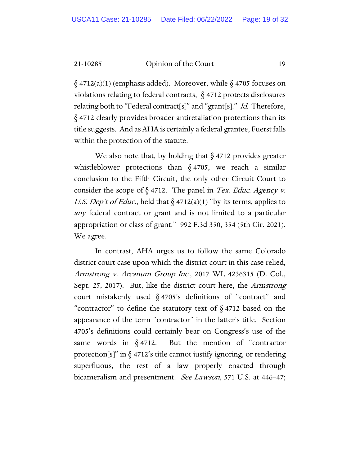$\S$  4712(a)(1) (emphasis added). Moreover, while  $\S$  4705 focuses on violations relating to federal contracts, § 4712 protects disclosures relating both to "Federal contract[s]" and "grant[s]." *Id.* Therefore, § 4712 clearly provides broader antiretaliation protections than its title suggests. And as AHA is certainly a federal grantee, Fuerst falls within the protection of the statute.

We also note that, by holding that  $\S$  4712 provides greater whistleblower protections than  $\S$  4705, we reach a similar conclusion to the Fifth Circuit, the only other Circuit Court to consider the scope of  $\S 4712$ . The panel in *Tex. Educ. Agency v.* U.S. Dep't of Educ., held that  $\S$  4712(a)(1) "by its terms, applies to any federal contract or grant and is not limited to a particular appropriation or class of grant." 992 F.3d 350, 354 (5th Cir. 2021). We agree.

In contrast, AHA urges us to follow the same Colorado district court case upon which the district court in this case relied, Armstrong v. Arcanum Group Inc., 2017 WL 4236315 (D. Col., Sept. 25, 2017). But, like the district court here, the Armstrong court mistakenly used § 4705's definitions of "contract" and "contractor" to define the statutory text of  $\S$  4712 based on the appearance of the term "contractor" in the latter's title. Section 4705's definitions could certainly bear on Congress's use of the same words in  $\delta$  4712. But the mention of "contractor" protection[s]" in  $\S 4712$ 's title cannot justify ignoring, or rendering superfluous, the rest of a law properly enacted through bicameralism and presentment. See Lawson, 571 U.S. at 446–47;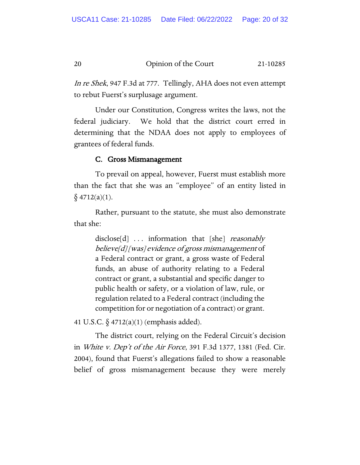In re Shek, 947 F.3d at 777. Tellingly, AHA does not even attempt to rebut Fuerst's surplusage argument.

Under our Constitution, Congress writes the laws, not the federal judiciary. We hold that the district court erred in determining that the NDAA does not apply to employees of grantees of federal funds.

# C. Gross Mismanagement

To prevail on appeal, however, Fuerst must establish more than the fact that she was an "employee" of an entity listed in  $§$  4712(a)(1).

Rather, pursuant to the statute, she must also demonstrate that she:

disclose[d]  $\ldots$  information that [she] *reasonably* believe[d] [was] evidence of gross mismanagement of a Federal contract or grant, a gross waste of Federal funds, an abuse of authority relating to a Federal contract or grant, a substantial and specific danger to public health or safety, or a violation of law, rule, or regulation related to a Federal contract (including the competition for or negotiation of a contract) or grant.

41 U.S.C. § 4712(a)(1) (emphasis added).

The district court, relying on the Federal Circuit's decision in White v. Dep't of the Air Force, 391 F.3d 1377, 1381 (Fed. Cir. 2004), found that Fuerst's allegations failed to show a reasonable belief of gross mismanagement because they were merely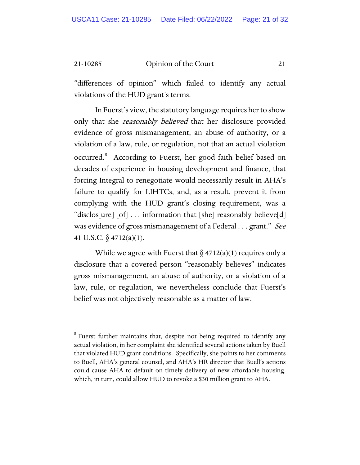"differences of opinion" which failed to identify any actual violations of the HUD grant's terms.

In Fuerst's view, the statutory language requires her to show only that she *reasonably believed* that her disclosure provided evidence of gross mismanagement, an abuse of authority, or a violation of a law, rule, or regulation, not that an actual violation occurred.<sup>[8](#page-20-0)</sup> According to Fuerst, her good faith belief based on decades of experience in housing development and finance, that forcing Integral to renegotiate would necessarily result in AHA's failure to qualify for LIHTCs, and, as a result, prevent it from complying with the HUD grant's closing requirement, was a "disclos[ure]  $[of]$  ... information that  $[she]$  reasonably believe $[d]$ was evidence of gross mismanagement of a Federal . . . grant." See 41 U.S.C. § 4712(a)(1).

While we agree with Fuerst that  $\S$  4712(a)(1) requires only a disclosure that a covered person "reasonably believes" indicates gross mismanagement, an abuse of authority, or a violation of a law, rule, or regulation, we nevertheless conclude that Fuerst's belief was not objectively reasonable as a matter of law.

<span id="page-20-0"></span> $8$  Fuerst further maintains that, despite not being required to identify any actual violation, in her complaint she identified several actions taken by Buell that violated HUD grant conditions. Specifically, she points to her comments to Buell, AHA's general counsel, and AHA's HR director that Buell's actions could cause AHA to default on timely delivery of new affordable housing, which, in turn, could allow HUD to revoke a \$30 million grant to AHA.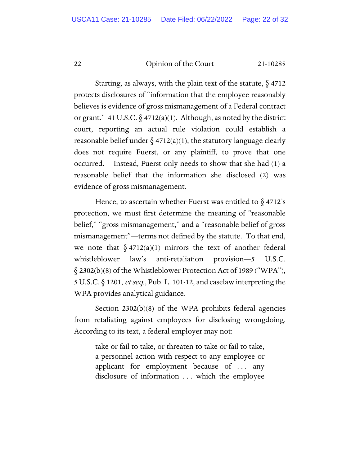Starting, as always, with the plain text of the statute,  $\S$  4712 protects disclosures of "information that the employee reasonably believes is evidence of gross mismanagement of a Federal contract or grant." 41 U.S.C.  $\S$  4712(a)(1). Although, as noted by the district court, reporting an actual rule violation could establish a reasonable belief under  $\S$  4712(a)(1), the statutory language clearly does not require Fuerst, or any plaintiff, to prove that one occurred. Instead, Fuerst only needs to show that she had (1) a reasonable belief that the information she disclosed (2) was evidence of gross mismanagement.

Hence, to ascertain whether Fuerst was entitled to  $\S$  4712's protection, we must first determine the meaning of "reasonable belief," "gross mismanagement," and a "reasonable belief of gross mismanagement"—terms not defined by the statute. To that end, we note that  $\S 4712(a)(1)$  mirrors the text of another federal whistleblower law's anti-retaliation provision—5 U.S.C.  $\S$  2302(b)(8) of the Whistleblower Protection Act of 1989 ("WPA"), 5 U.S.C. § 1201, et seq., Pub. L. 101-12, and caselaw interpreting the WPA provides analytical guidance.

Section 2302(b)(8) of the WPA prohibits federal agencies from retaliating against employees for disclosing wrongdoing. According to its text, a federal employer may not:

take or fail to take, or threaten to take or fail to take, a personnel action with respect to any employee or applicant for employment because of . . . any disclosure of information . . . which the employee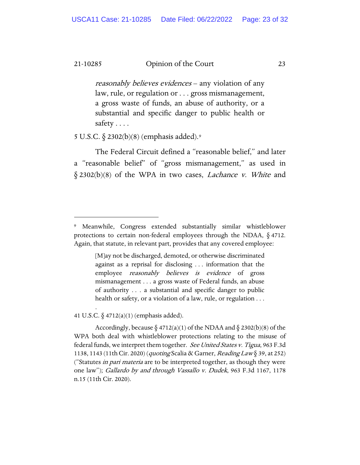reasonably believes evidences – any violation of any law, rule, or regulation or . . . gross mismanagement, a gross waste of funds, an abuse of authority, or a substantial and specific danger to public health or safety . . . .

5 U.S.C. § 2302(b)(8) (emphasis added).[9](#page-22-0)

The Federal Circuit defined a "reasonable belief," and later a "reasonable belief" of "gross mismanagement," as used in  $§$  2302(b)(8) of the WPA in two cases, *Lachance v. White* and

[M]ay not be discharged, demoted, or otherwise discriminated against as a reprisal for disclosing . . . information that the employee *reasonably believes is evidence* of gross mismanagement . . . a gross waste of Federal funds, an abuse of authority . . . a substantial and specific danger to public health or safety, or a violation of a law, rule, or regulation . . .

41 U.S.C. § 4712(a)(1) (emphasis added).

.

Accordingly, because  $\S 4712(a)(1)$  of the NDAA and  $\S 2302(b)(8)$  of the WPA both deal with whistleblower protections relating to the misuse of federal funds, we interpret them together. See United States v. Tigua, 963 F.3d 1138, 1143 (11th Cir. 2020) (quoting Scalia & Garner, Reading Law § 39, at 252) ("Statutes *in pari materia* are to be interpreted together, as though they were one law"); Gallardo by and through Vassallo v. Dudek, 963 F.3d 1167, 1178 n.15 (11th Cir. 2020).

<span id="page-22-0"></span><sup>9</sup> Meanwhile, Congress extended substantially similar whistleblower protections to certain non-federal employees through the NDAA, § 4712. Again, that statute, in relevant part, provides that any covered employee: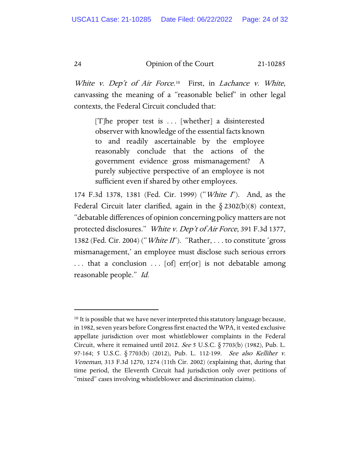White v. Dep't of Air Force.<sup>[10](#page-23-0)</sup> First, in Lachance v. White, canvassing the meaning of a "reasonable belief" in other legal contexts, the Federal Circuit concluded that:

 $[T]$ he proper test is ... [whether] a disinterested observer with knowledge of the essential facts known to and readily ascertainable by the employee reasonably conclude that the actions of the government evidence gross mismanagement? A purely subjective perspective of an employee is not sufficient even if shared by other employees.

174 F.3d 1378, 1381 (Fed. Cir. 1999) ("White I"). And, as the Federal Circuit later clarified, again in the  $\S 2302(b)(8)$  context, "debatable differences of opinion concerning policy matters are not protected disclosures." White v. Dep't of Air Force, 391 F.3d 1377, 1382 (Fed. Cir. 2004) ("*White II*"). "Rather, . . . to constitute 'gross mismanagement,' an employee must disclose such serious errors ... that a conclusion ... [of] err[or] is not debatable among reasonable people." Id.

<span id="page-23-0"></span><sup>&</sup>lt;sup>10</sup> It is possible that we have never interpreted this statutory language because, in 1982, seven years before Congress first enacted the WPA, it vested exclusive appellate jurisdiction over most whistleblower complaints in the Federal Circuit, where it remained until 2012. See 5 U.S.C.  $\S$  7703(b) (1982), Pub. L. 97-164; 5 U.S.C. § 7703(b) (2012), Pub. L. 112-199. See also Kelliher v. Veneman, 313 F.3d 1270, 1274 (11th Cir. 2002) (explaining that, during that time period, the Eleventh Circuit had jurisdiction only over petitions of "mixed" cases involving whistleblower and discrimination claims).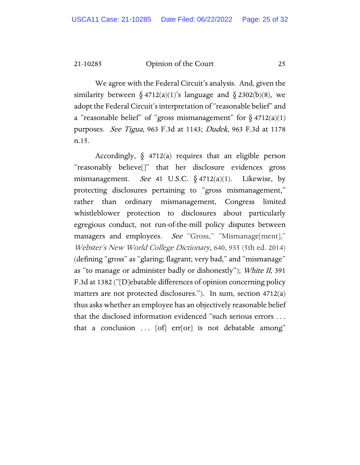We agree with the Federal Circuit's analysis. And, given the similarity between  $\delta$  4712(a)(1)'s language and  $\delta$  2302(b)(8), we adopt the Federal Circuit's interpretation of "reasonable belief" and a "reasonable belief" of "gross mismanagement" for  $\S$  4712(a)(1) purposes. See Tigua, 963 F.3d at 1143; Dudek, 963 F.3d at 1178 n.15.

Accordingly,  $\S$  4712(a) requires that an eligible person "reasonably believe[]" that her disclosure evidences gross mismanagement. *See* 41 U.S.C.  $\delta$  4712(a)(1). Likewise, by protecting disclosures pertaining to "gross mismanagement," rather than ordinary mismanagement, Congress limited whistleblower protection to disclosures about particularly egregious conduct, not run-of-the-mill policy disputes between managers and employees. See "Gross," "Mismanage[ment]," Webster's New World College Dictionary, 640, 935 (5th ed. 2014) (defining "gross" as "glaring; flagrant; very bad," and "mismanage" as "to manage or administer badly or dishonestly"); White II, 391 F.3d at 1382 ("[D]ebatable differences of opinion concerning policy matters are not protected disclosures."). In sum, section 4712(a) thus asks whether an employee has an objectively reasonable belief that the disclosed information evidenced "such serious errors . . . that a conclusion  $\ldots$  [of] err[or] is not debatable among"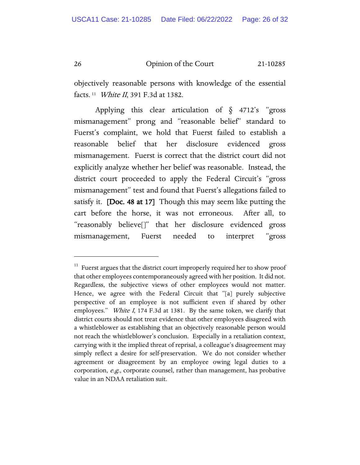objectively reasonable persons with knowledge of the essential facts. [11](#page-25-0) White II, 391 F.3d at 1382.

Applying this clear articulation of  $\delta$  4712's "gross" mismanagement" prong and "reasonable belief" standard to Fuerst's complaint, we hold that Fuerst failed to establish a reasonable belief that her disclosure evidenced gross mismanagement. Fuerst is correct that the district court did not explicitly analyze whether her belief was reasonable. Instead, the district court proceeded to apply the Federal Circuit's "gross mismanagement" test and found that Fuerst's allegations failed to satisfy it. [Doc. 48 at 17] Though this may seem like putting the cart before the horse, it was not erroneous. After all, to "reasonably believe[]" that her disclosure evidenced gross mismanagement, Fuerst needed to interpret "gross

<span id="page-25-0"></span> $11$  Fuerst argues that the district court improperly required her to show proof that other employees contemporaneously agreed with her position. It did not. Regardless, the subjective views of other employees would not matter. Hence, we agree with the Federal Circuit that "[a] purely subjective perspective of an employee is not sufficient even if shared by other employees." White I, 174 F.3d at 1381. By the same token, we clarify that district courts should not treat evidence that other employees disagreed with a whistleblower as establishing that an objectively reasonable person would not reach the whistleblower's conclusion. Especially in a retaliation context, carrying with it the implied threat of reprisal, a colleague's disagreement may simply reflect a desire for self-preservation. We do not consider whether agreement or disagreement by an employee owing legal duties to a corporation, e.g., corporate counsel, rather than management, has probative value in an NDAA retaliation suit.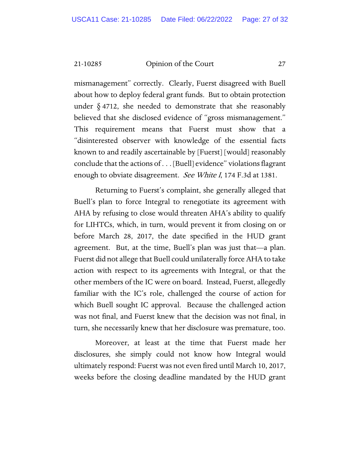mismanagement" correctly. Clearly, Fuerst disagreed with Buell about how to deploy federal grant funds. But to obtain protection under  $\S$  4712, she needed to demonstrate that she reasonably believed that she disclosed evidence of "gross mismanagement." This requirement means that Fuerst must show that a "disinterested observer with knowledge of the essential facts known to and readily ascertainable by [Fuerst] [would] reasonably conclude that the actions of . . . [Buell] evidence" violations flagrant enough to obviate disagreement. See White I, 174 F.3d at 1381.

Returning to Fuerst's complaint, she generally alleged that Buell's plan to force Integral to renegotiate its agreement with AHA by refusing to close would threaten AHA's ability to qualify for LIHTCs, which, in turn, would prevent it from closing on or before March 28, 2017, the date specified in the HUD grant agreement. But, at the time, Buell's plan was just that—a plan. Fuerst did not allege that Buell could unilaterally force AHA to take action with respect to its agreements with Integral, or that the other members of the IC were on board. Instead, Fuerst, allegedly familiar with the IC's role, challenged the course of action for which Buell sought IC approval. Because the challenged action was not final, and Fuerst knew that the decision was not final, in turn, she necessarily knew that her disclosure was premature, too.

Moreover, at least at the time that Fuerst made her disclosures, she simply could not know how Integral would ultimately respond: Fuerst was not even fired until March 10, 2017, weeks before the closing deadline mandated by the HUD grant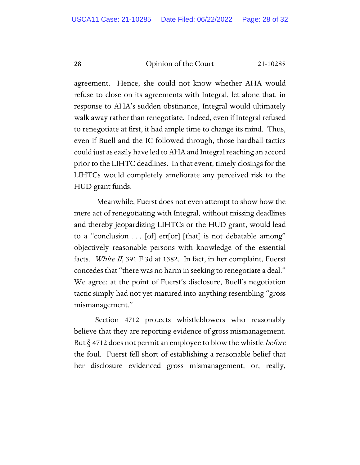agreement. Hence, she could not know whether AHA would refuse to close on its agreements with Integral, let alone that, in response to AHA's sudden obstinance, Integral would ultimately walk away rather than renegotiate. Indeed, even if Integral refused to renegotiate at first, it had ample time to change its mind. Thus, even if Buell and the IC followed through, those hardball tactics could just as easily have led to AHA and Integral reaching an accord prior to the LIHTC deadlines. In that event, timely closings for the LIHTCs would completely ameliorate any perceived risk to the HUD grant funds.

Meanwhile, Fuerst does not even attempt to show how the mere act of renegotiating with Integral, without missing deadlines and thereby jeopardizing LIHTCs or the HUD grant, would lead to a "conclusion . . . [of] err[or] [that] is not debatable among" objectively reasonable persons with knowledge of the essential facts. White II, 391 F.3d at 1382. In fact, in her complaint, Fuerst concedes that "there was no harm in seeking to renegotiate a deal." We agree: at the point of Fuerst's disclosure, Buell's negotiation tactic simply had not yet matured into anything resembling "gross mismanagement."

Section 4712 protects whistleblowers who reasonably believe that they are reporting evidence of gross mismanagement. But  $\S$  4712 does not permit an employee to blow the whistle *before* the foul. Fuerst fell short of establishing a reasonable belief that her disclosure evidenced gross mismanagement, or, really,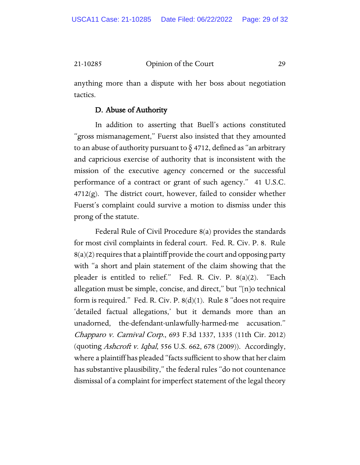anything more than a dispute with her boss about negotiation tactics.

# D. Abuse of Authority

In addition to asserting that Buell's actions constituted "gross mismanagement," Fuerst also insisted that they amounted to an abuse of authority pursuant to  $\S$  4712, defined as "an arbitrary and capricious exercise of authority that is inconsistent with the mission of the executive agency concerned or the successful performance of a contract or grant of such agency." 41 U.S.C.  $4712(g)$ . The district court, however, failed to consider whether Fuerst's complaint could survive a motion to dismiss under this prong of the statute.

Federal Rule of Civil Procedure 8(a) provides the standards for most civil complaints in federal court. Fed. R. Civ. P. 8. Rule 8(a)(2) requires that a plaintiff provide the court and opposing party with "a short and plain statement of the claim showing that the pleader is entitled to relief." Fed. R. Civ. P. 8(a)(2). "Each allegation must be simple, concise, and direct," but "[n]o technical form is required." Fed. R. Civ. P.  $8(d)(1)$ . Rule 8 "does not require 'detailed factual allegations,' but it demands more than an unadorned, the-defendant-unlawfully-harmed-me accusation." Chapparo v. Carnival Corp., 693 F.3d 1337, 1335 (11th Cir. 2012) (quoting Ashcroft v. Iqbal, 556 U.S. 662, 678 (2009)). Accordingly, where a plaintiff has pleaded "facts sufficient to show that her claim has substantive plausibility," the federal rules "do not countenance dismissal of a complaint for imperfect statement of the legal theory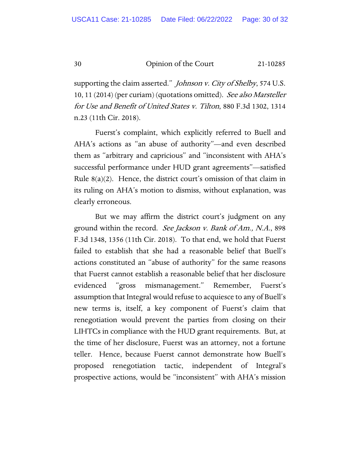supporting the claim asserted." *Johnson v. City of Shelby*, 574 U.S. 10, 11 (2014) (per curiam) (quotations omitted). See also Marsteller for Use and Benefit of United States v. Tilton, 880 F.3d 1302, 1314 n.23 (11th Cir. 2018).

Fuerst's complaint, which explicitly referred to Buell and AHA's actions as "an abuse of authority"—and even described them as "arbitrary and capricious" and "inconsistent with AHA's successful performance under HUD grant agreements"—satisfied Rule  $8(a)(2)$ . Hence, the district court's omission of that claim in its ruling on AHA's motion to dismiss, without explanation, was clearly erroneous.

But we may affirm the district court's judgment on any ground within the record. See Jackson v. Bank of Am., N.A., 898 F.3d 1348, 1356 (11th Cir. 2018). To that end, we hold that Fuerst failed to establish that she had a reasonable belief that Buell's actions constituted an "abuse of authority" for the same reasons that Fuerst cannot establish a reasonable belief that her disclosure evidenced "gross mismanagement." Remember, Fuerst's assumption that Integral would refuse to acquiesce to any of Buell's new terms is, itself, a key component of Fuerst's claim that renegotiation would prevent the parties from closing on their LIHTCs in compliance with the HUD grant requirements. But, at the time of her disclosure, Fuerst was an attorney, not a fortune teller. Hence, because Fuerst cannot demonstrate how Buell's proposed renegotiation tactic, independent of Integral's prospective actions, would be "inconsistent" with AHA's mission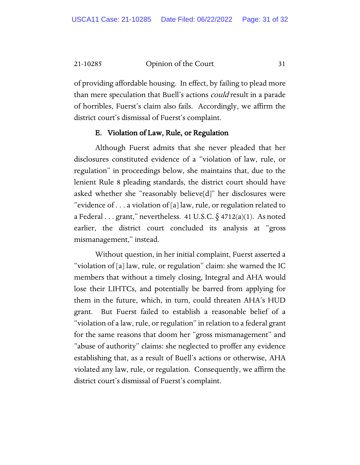of providing affordable housing. In effect, by failing to plead more than mere speculation that Buell's actions *could* result in a parade of horribles, Fuerst's claim also fails. Accordingly, we affirm the district court's dismissal of Fuerst's complaint.

#### E. Violation of Law, Rule, or Regulation

Although Fuerst admits that she never pleaded that her disclosures constituted evidence of a "violation of law, rule, or regulation" in proceedings below, she maintains that, due to the lenient Rule 8 pleading standards, the district court should have asked whether she "reasonably believe[d]" her disclosures were "evidence of . . . a violation of [a] law, rule, or regulation related to a Federal . . . grant," nevertheless. 41 U.S.C.  $\delta$  4712(a)(1). As noted earlier, the district court concluded its analysis at "gross mismanagement," instead.

Without question, in her initial complaint, Fuerst asserted a "violation of [a] law, rule, or regulation" claim: she warned the IC members that without a timely closing, Integral and AHA would lose their LIHTCs, and potentially be barred from applying for them in the future, which, in turn, could threaten AHA's HUD grant. But Fuerst failed to establish a reasonable belief of a "violation of a law, rule, or regulation" in relation to a federal grant for the same reasons that doom her "gross mismanagement" and "abuse of authority" claims: she neglected to proffer any evidence establishing that, as a result of Buell's actions or otherwise, AHA violated any law, rule, or regulation. Consequently, we affirm the district court's dismissal of Fuerst's complaint.